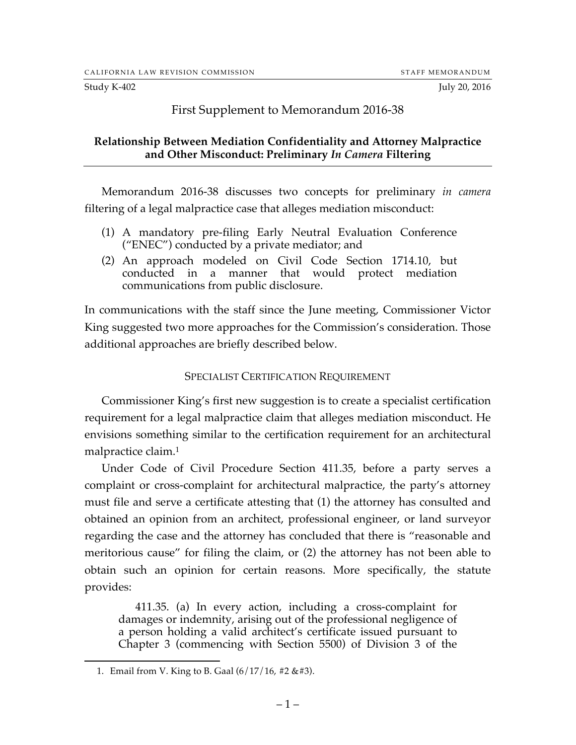#### Study K-402 July 20, 2016

## First Supplement to Memorandum 2016-38

### **Relationship Between Mediation Confidentiality and Attorney Malpractice and Other Misconduct: Preliminary** *In Camera* **Filtering**

Memorandum 2016-38 discusses two concepts for preliminary *in camera* filtering of a legal malpractice case that alleges mediation misconduct:

- (1) A mandatory pre-filing Early Neutral Evaluation Conference ("ENEC") conducted by a private mediator; and
- (2) An approach modeled on Civil Code Section 1714.10, but conducted in a manner that would protect mediation communications from public disclosure.

In communications with the staff since the June meeting, Commissioner Victor King suggested two more approaches for the Commission's consideration. Those additional approaches are briefly described below.

#### SPECIALIST CERTIFICATION REQUIREMENT

Commissioner King's first new suggestion is to create a specialist certification requirement for a legal malpractice claim that alleges mediation misconduct. He envisions something similar to the certification requirement for an architectural malpractice claim. 1

Under Code of Civil Procedure Section 411.35, before a party serves a complaint or cross-complaint for architectural malpractice, the party's attorney must file and serve a certificate attesting that (1) the attorney has consulted and obtained an opinion from an architect, professional engineer, or land surveyor regarding the case and the attorney has concluded that there is "reasonable and meritorious cause" for filing the claim, or (2) the attorney has not been able to obtain such an opinion for certain reasons. More specifically, the statute provides:

411.35. (a) In every action, including a cross-complaint for damages or indemnity, arising out of the professional negligence of a person holding a valid architect's certificate issued pursuant to Chapter 3 (commencing with Section 5500) of Division 3 of the

<sup>1.</sup> Email from V. King to B. Gaal  $(6/17/16, #2 & 43)$ .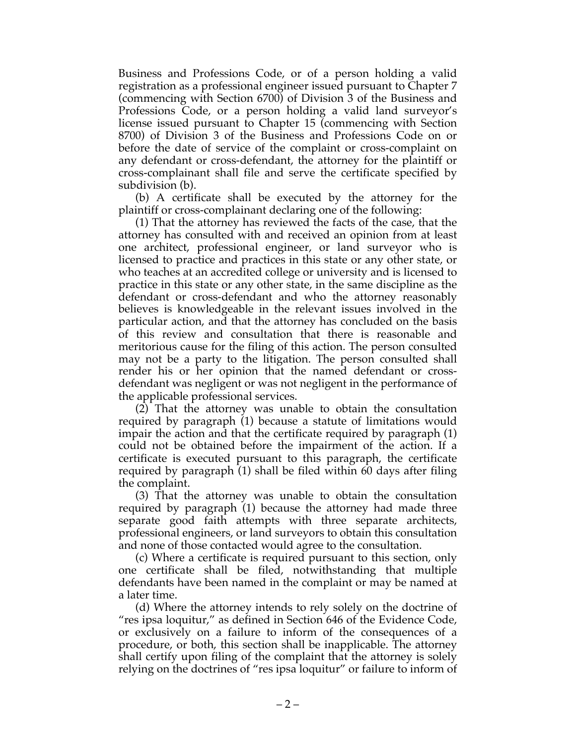Business and Professions Code, or of a person holding a valid registration as a professional engineer issued pursuant to Chapter 7 (commencing with Section 6700) of Division 3 of the Business and Professions Code, or a person holding a valid land surveyor's license issued pursuant to Chapter 15 (commencing with Section 8700) of Division 3 of the Business and Professions Code on or before the date of service of the complaint or cross-complaint on any defendant or cross-defendant, the attorney for the plaintiff or cross-complainant shall file and serve the certificate specified by subdivision (b).

(b) A certificate shall be executed by the attorney for the plaintiff or cross-complainant declaring one of the following:

(1) That the attorney has reviewed the facts of the case, that the attorney has consulted with and received an opinion from at least one architect, professional engineer, or land surveyor who is licensed to practice and practices in this state or any other state, or who teaches at an accredited college or university and is licensed to practice in this state or any other state, in the same discipline as the defendant or cross-defendant and who the attorney reasonably believes is knowledgeable in the relevant issues involved in the particular action, and that the attorney has concluded on the basis of this review and consultation that there is reasonable and meritorious cause for the filing of this action. The person consulted may not be a party to the litigation. The person consulted shall render his or her opinion that the named defendant or crossdefendant was negligent or was not negligent in the performance of the applicable professional services.

(2) That the attorney was unable to obtain the consultation required by paragraph (1) because a statute of limitations would impair the action and that the certificate required by paragraph (1) could not be obtained before the impairment of the action. If a certificate is executed pursuant to this paragraph, the certificate required by paragraph (1) shall be filed within 60 days after filing the complaint.

(3) That the attorney was unable to obtain the consultation required by paragraph (1) because the attorney had made three separate good faith attempts with three separate architects, professional engineers, or land surveyors to obtain this consultation and none of those contacted would agree to the consultation.

(c) Where a certificate is required pursuant to this section, only one certificate shall be filed, notwithstanding that multiple defendants have been named in the complaint or may be named at a later time.

(d) Where the attorney intends to rely solely on the doctrine of "res ipsa loquitur," as defined in Section 646 of the Evidence Code, or exclusively on a failure to inform of the consequences of a procedure, or both, this section shall be inapplicable. The attorney shall certify upon filing of the complaint that the attorney is solely relying on the doctrines of "res ipsa loquitur" or failure to inform of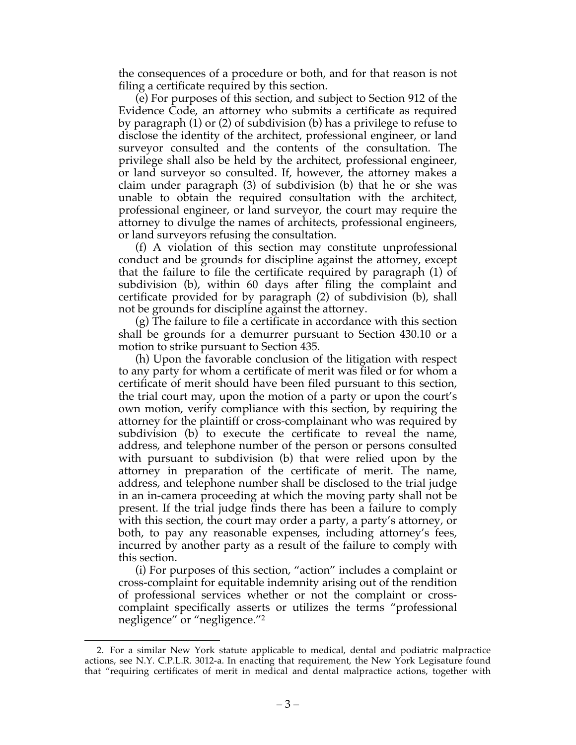the consequences of a procedure or both, and for that reason is not filing a certificate required by this section.

(e) For purposes of this section, and subject to Section 912 of the Evidence Code, an attorney who submits a certificate as required by paragraph (1) or (2) of subdivision (b) has a privilege to refuse to disclose the identity of the architect, professional engineer, or land surveyor consulted and the contents of the consultation. The privilege shall also be held by the architect, professional engineer, or land surveyor so consulted. If, however, the attorney makes a claim under paragraph (3) of subdivision (b) that he or she was unable to obtain the required consultation with the architect, professional engineer, or land surveyor, the court may require the attorney to divulge the names of architects, professional engineers, or land surveyors refusing the consultation.

(f) A violation of this section may constitute unprofessional conduct and be grounds for discipline against the attorney, except that the failure to file the certificate required by paragraph (1) of subdivision (b), within 60 days after filing the complaint and certificate provided for by paragraph (2) of subdivision (b), shall not be grounds for discipline against the attorney.

(g) The failure to file a certificate in accordance with this section shall be grounds for a demurrer pursuant to Section 430.10 or a motion to strike pursuant to Section 435.

(h) Upon the favorable conclusion of the litigation with respect to any party for whom a certificate of merit was filed or for whom a certificate of merit should have been filed pursuant to this section, the trial court may, upon the motion of a party or upon the court's own motion, verify compliance with this section, by requiring the attorney for the plaintiff or cross-complainant who was required by subdivision (b) to execute the certificate to reveal the name, address, and telephone number of the person or persons consulted with pursuant to subdivision (b) that were relied upon by the attorney in preparation of the certificate of merit. The name, address, and telephone number shall be disclosed to the trial judge in an in-camera proceeding at which the moving party shall not be present. If the trial judge finds there has been a failure to comply with this section, the court may order a party, a party's attorney, or both, to pay any reasonable expenses, including attorney's fees, incurred by another party as a result of the failure to comply with this section.

(i) For purposes of this section, "action" includes a complaint or cross-complaint for equitable indemnity arising out of the rendition of professional services whether or not the complaint or crosscomplaint specifically asserts or utilizes the terms "professional negligence" or "negligence."2

 <sup>2.</sup> For a similar New York statute applicable to medical, dental and podiatric malpractice actions, see N.Y. C.P.L.R. 3012-a. In enacting that requirement, the New York Legisature found that "requiring certificates of merit in medical and dental malpractice actions, together with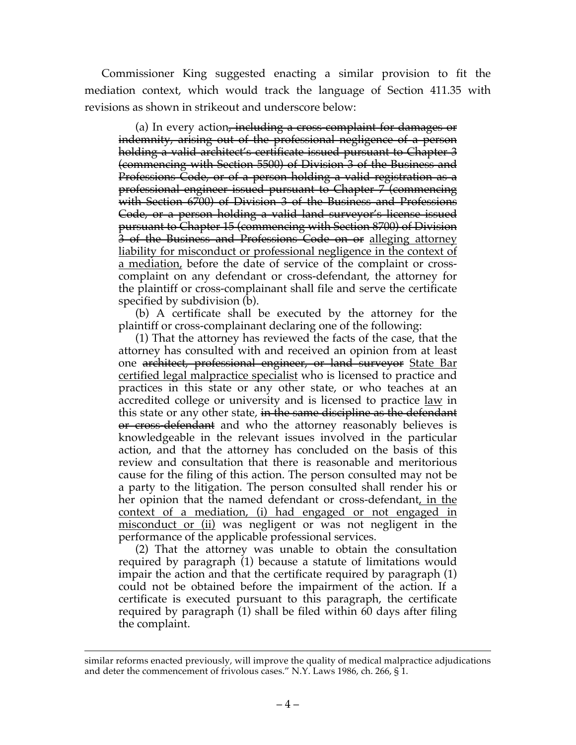Commissioner King suggested enacting a similar provision to fit the mediation context, which would track the language of Section 411.35 with revisions as shown in strikeout and underscore below:

(a) In every action<del>, including a cross complaint for damages or</del> indemnity, arising out of the professional negligence of a person holding a valid architect's certificate issued pursuant to Chapter 3 (commencing with Section 5500) of Division 3 of the Business and Professions Code, or of a person holding a valid registration as a professional engineer issued pursuant to Chapter 7 (commencing with Section 6700) of Division 3 of the Business and Professions Code, or a person holding a valid land surveyor's license issued pursuant to Chapter 15 (commencing with Section 8700) of Division 3 of the Business and Professions Code on or alleging attorney liability for misconduct or professional negligence in the context of a mediation, before the date of service of the complaint or crosscomplaint on any defendant or cross-defendant, the attorney for the plaintiff or cross-complainant shall file and serve the certificate specified by subdivision (b).

(b) A certificate shall be executed by the attorney for the plaintiff or cross-complainant declaring one of the following:

(1) That the attorney has reviewed the facts of the case, that the attorney has consulted with and received an opinion from at least one architect, professional engineer, or land surveyor State Bar certified legal malpractice specialist who is licensed to practice and practices in this state or any other state, or who teaches at an accredited college or university and is licensed to practice <u>law</u> in this state or any other state, in the same discipline as the defendant or cross-defendant and who the attorney reasonably believes is knowledgeable in the relevant issues involved in the particular action, and that the attorney has concluded on the basis of this review and consultation that there is reasonable and meritorious cause for the filing of this action. The person consulted may not be a party to the litigation. The person consulted shall render his or her opinion that the named defendant or cross-defendant, in the context of a mediation, (i) had engaged or not engaged in misconduct or (ii) was negligent or was not negligent in the performance of the applicable professional services.

(2) That the attorney was unable to obtain the consultation required by paragraph (1) because a statute of limitations would impair the action and that the certificate required by paragraph (1) could not be obtained before the impairment of the action. If a certificate is executed pursuant to this paragraph, the certificate required by paragraph (1) shall be filed within 60 days after filing the complaint.

similar reforms enacted previously, will improve the quality of medical malpractice adjudications and deter the commencement of frivolous cases." N.Y. Laws 1986, ch. 266, § 1.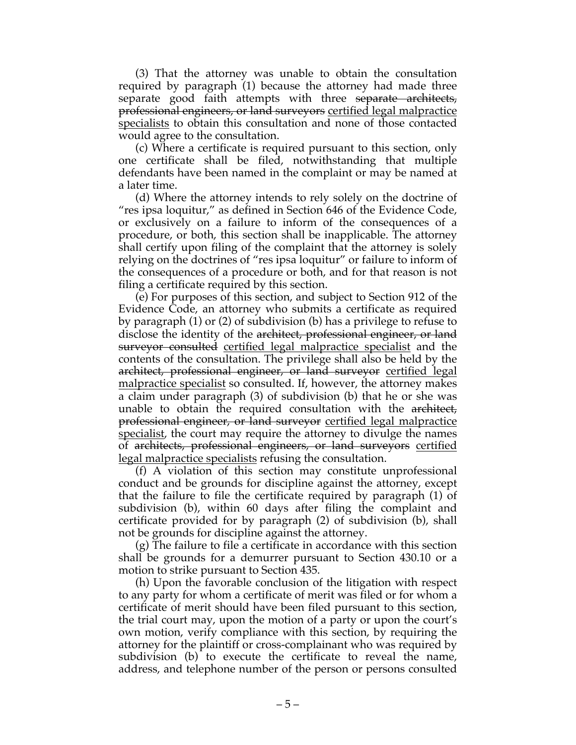(3) That the attorney was unable to obtain the consultation required by paragraph (1) because the attorney had made three separate good faith attempts with three <del>separate architects,</del> professional engineers, or land surveyors certified legal malpractice specialists to obtain this consultation and none of those contacted would agree to the consultation.

(c) Where a certificate is required pursuant to this section, only one certificate shall be filed, notwithstanding that multiple defendants have been named in the complaint or may be named at a later time.

(d) Where the attorney intends to rely solely on the doctrine of "res ipsa loquitur," as defined in Section 646 of the Evidence Code, or exclusively on a failure to inform of the consequences of a procedure, or both, this section shall be inapplicable. The attorney shall certify upon filing of the complaint that the attorney is solely relying on the doctrines of "res ipsa loquitur" or failure to inform of the consequences of a procedure or both, and for that reason is not filing a certificate required by this section.

(e) For purposes of this section, and subject to Section 912 of the Evidence Code, an attorney who submits a certificate as required by paragraph (1) or (2) of subdivision (b) has a privilege to refuse to disclose the identity of the architect, professional engineer, or land surveyor consulted certified legal malpractice specialist and the contents of the consultation. The privilege shall also be held by the architect, professional engineer, or land surveyor certified legal malpractice specialist so consulted. If, however, the attorney makes a claim under paragraph (3) of subdivision (b) that he or she was unable to obtain the required consultation with the architect, professional engineer, or land surveyor certified legal malpractice specialist, the court may require the attorney to divulge the names of architects, professional engineers, or land surveyors certified legal malpractice specialists refusing the consultation.

(f) A violation of this section may constitute unprofessional conduct and be grounds for discipline against the attorney, except that the failure to file the certificate required by paragraph (1) of subdivision (b), within 60 days after filing the complaint and certificate provided for by paragraph (2) of subdivision (b), shall not be grounds for discipline against the attorney.

(g) The failure to file a certificate in accordance with this section shall be grounds for a demurrer pursuant to Section 430.10 or a motion to strike pursuant to Section 435.

(h) Upon the favorable conclusion of the litigation with respect to any party for whom a certificate of merit was filed or for whom a certificate of merit should have been filed pursuant to this section, the trial court may, upon the motion of a party or upon the court's own motion, verify compliance with this section, by requiring the attorney for the plaintiff or cross-complainant who was required by subdivision (b) to execute the certificate to reveal the name, address, and telephone number of the person or persons consulted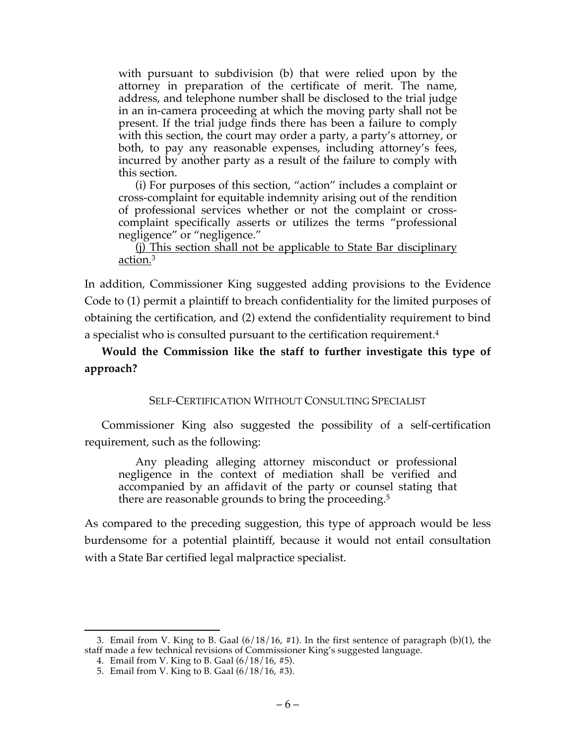with pursuant to subdivision (b) that were relied upon by the attorney in preparation of the certificate of merit. The name, address, and telephone number shall be disclosed to the trial judge in an in-camera proceeding at which the moving party shall not be present. If the trial judge finds there has been a failure to comply with this section, the court may order a party, a party's attorney, or both, to pay any reasonable expenses, including attorney's fees, incurred by another party as a result of the failure to comply with this section.

(i) For purposes of this section, "action" includes a complaint or cross-complaint for equitable indemnity arising out of the rendition of professional services whether or not the complaint or crosscomplaint specifically asserts or utilizes the terms "professional negligence" or "negligence."

#### (j) This section shall not be applicable to State Bar disciplinary action.3

In addition, Commissioner King suggested adding provisions to the Evidence Code to (1) permit a plaintiff to breach confidentiality for the limited purposes of obtaining the certification, and (2) extend the confidentiality requirement to bind a specialist who is consulted pursuant to the certification requirement.4

# **Would the Commission like the staff to further investigate this type of approach?**

# SELF-CERTIFICATION WITHOUT CONSULTING SPECIALIST

Commissioner King also suggested the possibility of a self-certification requirement, such as the following:

Any pleading alleging attorney misconduct or professional negligence in the context of mediation shall be verified and accompanied by an affidavit of the party or counsel stating that there are reasonable grounds to bring the proceeding.<sup>5</sup>

As compared to the preceding suggestion, this type of approach would be less burdensome for a potential plaintiff, because it would not entail consultation with a State Bar certified legal malpractice specialist.

 <sup>3.</sup> Email from V. King to B. Gaal (6/18/16, #1). In the first sentence of paragraph (b)(1), the staff made a few technical revisions of Commissioner King's suggested language.

<sup>4.</sup> Email from V. King to B. Gaal (6/18/16, #5).

<sup>5.</sup> Email from V. King to B. Gaal (6/18/16, #3).